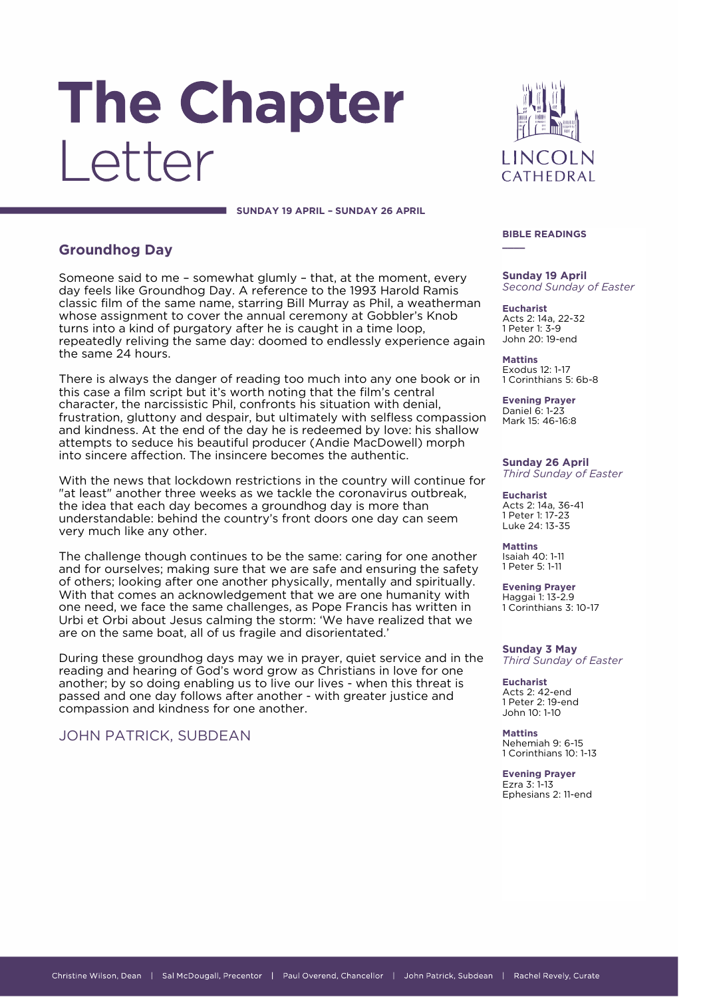# The Chapter I etter

**LINCOLN** CATHEDRAI

#### **SUNDAY 19 APRIL – SUNDAY 26 APRIL**

# **Groundhog Day**

Someone said to me – somewhat glumly – that, at the moment, every day feels like Groundhog Day. A reference to the 1993 Harold Ramis classic film of the same name, starring Bill Murray as Phil, a weatherman whose assignment to cover the annual ceremony at Gobbler's Knob turns into a kind of purgatory after he is caught in a time loop, repeatedly reliving the same day: doomed to endlessly experience again the same 24 hours.

There is always the danger of reading too much into any one book or in this case a film script but it's worth noting that the film's central character, the narcissistic Phil, confronts his situation with denial, frustration, gluttony and despair, but ultimately with selfless compassion and kindness. At the end of the day he is redeemed by love: his shallow attempts to seduce his beautiful producer (Andie MacDowell) morph into sincere affection. The insincere becomes the authentic.

With the news that lockdown restrictions in the country will continue for "at least" another three weeks as we tackle the coronavirus outbreak, the idea that each day becomes a groundhog day is more than understandable: behind the country's front doors one day can seem very much like any other.

The challenge though continues to be the same: caring for one another and for ourselves; making sure that we are safe and ensuring the safety of others; looking after one another physically, mentally and spiritually. With that comes an acknowledgement that we are one humanity with one need, we face the same challenges, as Pope Francis has written in Urbi et Orbi about Jesus calming the storm: 'We have realized that we are on the same boat, all of us fragile and disorientated.'

During these groundhog days may we in prayer, quiet service and in the reading and hearing of God's word grow as Christians in love for one another; by so doing enabling us to live our lives - when this threat is passed and one day follows after another - with greater justice and compassion and kindness for one another.

# JOHN PATRICK, SUBDEAN

**BIBLE READINGS**

**\_\_\_\_**

**Sunday 19 April** *Second Sunday of Easter*

**Eucharist** Acts 2: 14a, 22-32 1 Peter 1: 3-9 John 20: 19-end

**Mattins** Exodus 12: 1-17 1 Corinthians 5: 6b-8

**Evening Prayer** Daniel 6: 1-23 Mark 15: 46-16:8

#### **Sunday 26 April** *Third Sunday of Easter*

**Eucharist** Acts 2: 14a, 36-41 1 Peter 1: 17-23 Luke 24: 13-35

**Mattins** Isaiah 40: 1-11 1 Peter 5: 1-11

**Evening Prayer** Haggai 1: 13-2.9 1 Corinthians 3: 10-17

**Sunday 3 May** *Third Sunday of Easter*

**Eucharist** Acts 2: 42-end 1 Peter 2: 19-end John 10: 1-10

**Mattins** Nehemiah 9: 6-15 1 Corinthians 10: 1-13

**Evening Prayer** Ezra 3: 1-13 Ephesians 2: 11-end